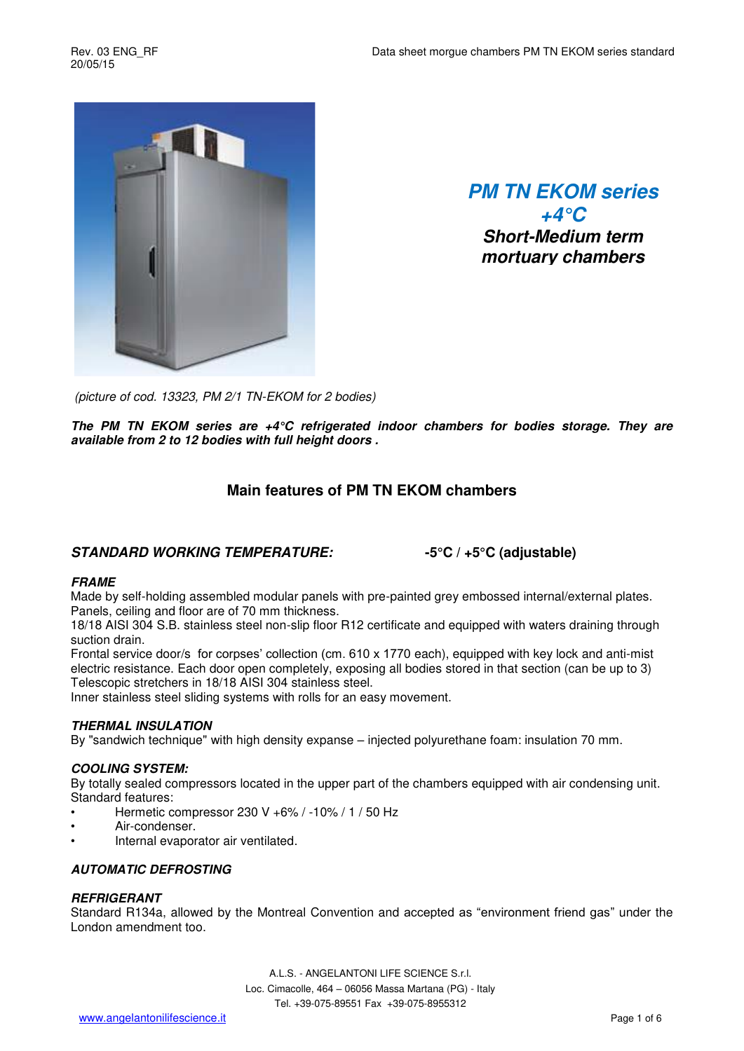

*PM TN EKOM series +4°C Short-Medium term mortuary chambers* 

 *(picture of cod. 13323, PM 2/1 TN-EKOM for 2 bodies)* 

*The PM TN EKOM series are +4°C refrigerated indoor chambers for bodies storage. They are available from 2 to 12 bodies with full height doors .* 

## **Main features of PM TN EKOM chambers**

### *STANDARD WORKING TEMPERATURE:* **-5°C / +5°C (adjustable)**

### *FRAME*

Made by self-holding assembled modular panels with pre-painted grey embossed internal/external plates. Panels, ceiling and floor are of 70 mm thickness.

18/18 AISI 304 S.B. stainless steel non-slip floor R12 certificate and equipped with waters draining through suction drain.

Frontal service door/s for corpses' collection (cm. 610 x 1770 each), equipped with key lock and anti-mist electric resistance. Each door open completely, exposing all bodies stored in that section (can be up to 3) Telescopic stretchers in 18/18 AISI 304 stainless steel.

Inner stainless steel sliding systems with rolls for an easy movement.

### *THERMAL INSULATION*

By "sandwich technique" with high density expanse – injected polyurethane foam: insulation 70 mm.

### *COOLING SYSTEM:*

By totally sealed compressors located in the upper part of the chambers equipped with air condensing unit. Standard features:

- Hermetic compressor 230 V +6% / -10% / 1 / 50 Hz
- Air-condenser.
- Internal evaporator air ventilated.

### *AUTOMATIC DEFROSTING*

### *REFRIGERANT*

Standard R134a, allowed by the Montreal Convention and accepted as "environment friend gas" under the London amendment too.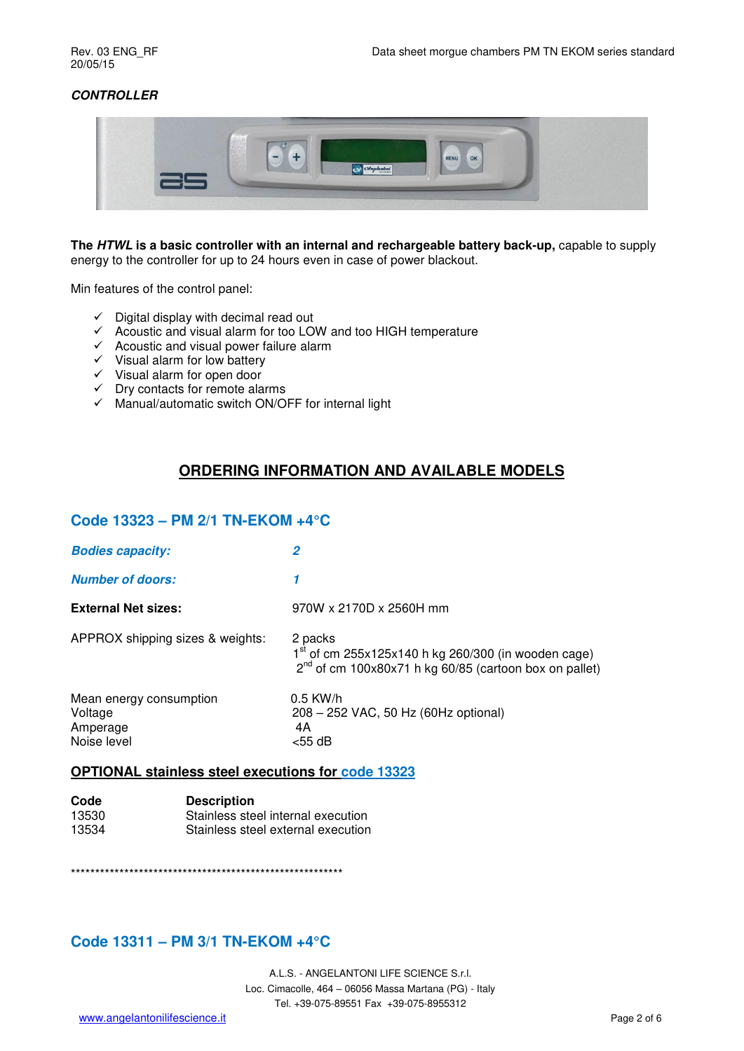### *CONTROLLER*



**The** *HTWL* **is a basic controller with an internal and rechargeable battery back-up,** capable to supply energy to the controller for up to 24 hours even in case of power blackout.

Min features of the control panel:

- $\checkmark$  Digital display with decimal read out
- $\checkmark$  Acoustic and visual alarm for too LOW and too HIGH temperature
- $\checkmark$  Acoustic and visual power failure alarm
- $\checkmark$  Visual alarm for low battery
- $\checkmark$  Visual alarm for open door
- $\checkmark$  Dry contacts for remote alarms
- $\checkmark$  Manual/automatic switch ON/OFF for internal light

### **ORDERING INFORMATION AND AVAILABLE MODELS**

### **Code 13323 – PM 2/1 TN-EKOM +4°C**

| <b>Bodies capacity:</b>                                       | 2                                                                                                                               |
|---------------------------------------------------------------|---------------------------------------------------------------------------------------------------------------------------------|
| <b>Number of doors:</b>                                       |                                                                                                                                 |
| <b>External Net sizes:</b>                                    | 970W x 2170D x 2560H mm                                                                                                         |
| APPROX shipping sizes & weights:                              | 2 packs<br>$1st$ of cm 255x125x140 h kg 260/300 (in wooden cage)<br>$2^{nd}$ of cm 100x80x71 h kg 60/85 (cartoon box on pallet) |
| Mean energy consumption<br>Voltage<br>Amperage<br>Noise level | $0.5$ KW/h<br>208 - 252 VAC, 50 Hz (60Hz optional)<br>4A<br>$<$ 55 dB                                                           |

### **OPTIONAL stainless steel executions for code 13323**

| Code  | <b>Description</b>                 |
|-------|------------------------------------|
| 13530 | Stainless steel internal execution |
| 13534 | Stainless steel external execution |

\*\*\*\*\*\*\*\*\*\*\*\*\*\*\*\*\*\*\*\*\*\*\*\*\*\*\*\*\*\*\*\*\*\*\*\*\*\*\*\*\*\*\*\*\*\*\*\*\*\*\*\*\*\*\*\*

### **Code 13311 – PM 3/1 TN-EKOM +4°C**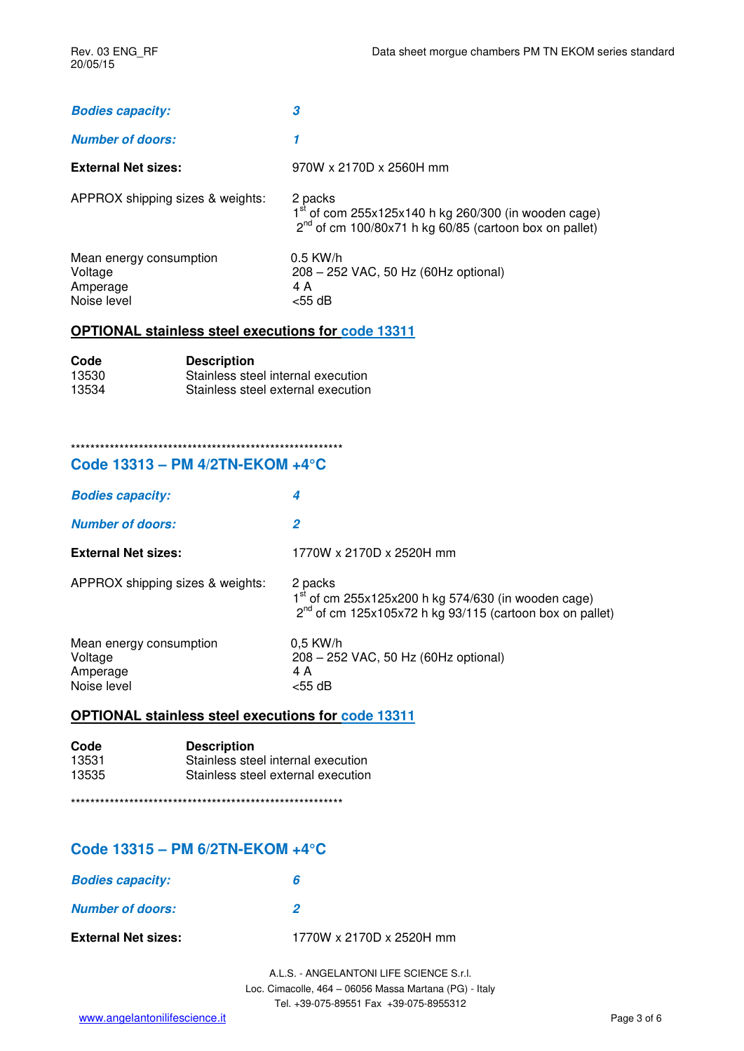| <b>Bodies capacity:</b>                                       | 3                                                                                                                                |
|---------------------------------------------------------------|----------------------------------------------------------------------------------------------------------------------------------|
| <b>Number of doors:</b>                                       |                                                                                                                                  |
| <b>External Net sizes:</b>                                    | 970W x 2170D x 2560H mm                                                                                                          |
| APPROX shipping sizes & weights:                              | 2 packs<br>$1st$ of com 255x125x140 h kg 260/300 (in wooden cage)<br>$2^{nd}$ of cm 100/80x71 h kg 60/85 (cartoon box on pallet) |
| Mean energy consumption<br>Voltage<br>Amperage<br>Noise level | $0.5$ KW/h<br>208 - 252 VAC, 50 Hz (60Hz optional)<br>4 A<br>$<$ 55 dB                                                           |

### **OPTIONAL stainless steel executions for code 13311**

| Code  | <b>Description</b>                 |
|-------|------------------------------------|
| 13530 | Stainless steel internal execution |
| 13534 | Stainless steel external execution |

# \*\*\*\*\*\*\*\*\*\*\*\*\*\*\*\*\*\*\*\*\*\*\*\*\*\*\*\*\*\*\*\*\*\*\*\*\*\*\*\*\*\*\*\*\*\*\*\*\*\*\*\*\*\*\*\*

## **Code 13313 – PM 4/2TN-EKOM +4°C**

| <b>Bodies capacity:</b>                                       | 4                                                                                                                              |
|---------------------------------------------------------------|--------------------------------------------------------------------------------------------------------------------------------|
| <b>Number of doors:</b>                                       | 2                                                                                                                              |
| <b>External Net sizes:</b>                                    | 1770W x 2170D x 2520H mm                                                                                                       |
| APPROX shipping sizes & weights:                              | 2 packs<br>$1st$ of cm 255x125x200 h kg 574/630 (in wooden cage)<br>$2nd$ of cm 125x105x72 h kg 93/115 (cartoon box on pallet) |
| Mean energy consumption<br>Voltage<br>Amperage<br>Noise level | $0.5$ KW/h<br>208 - 252 VAC, 50 Hz (60Hz optional)<br>4 A<br>$<$ 55 dB                                                         |

### **OPTIONAL stainless steel executions for code 13311**

| Code  | <b>Description</b>                 |
|-------|------------------------------------|
| 13531 | Stainless steel internal execution |
| 13535 | Stainless steel external execution |

\*\*\*\*\*\*\*\*\*\*\*\*\*\*\*\*\*\*\*\*\*\*\*\*\*\*\*\*\*\*\*\*\*\*\*\*\*\*\*\*\*\*\*\*\*\*\*\*\*\*\*\*\*\*\*\*

## **Code 13315 – PM 6/2TN-EKOM +4°C**

| <b>Bodies capacity:</b>    |                          |
|----------------------------|--------------------------|
| <b>Number of doors:</b>    |                          |
| <b>External Net sizes:</b> | 1770W x 2170D x 2520H mm |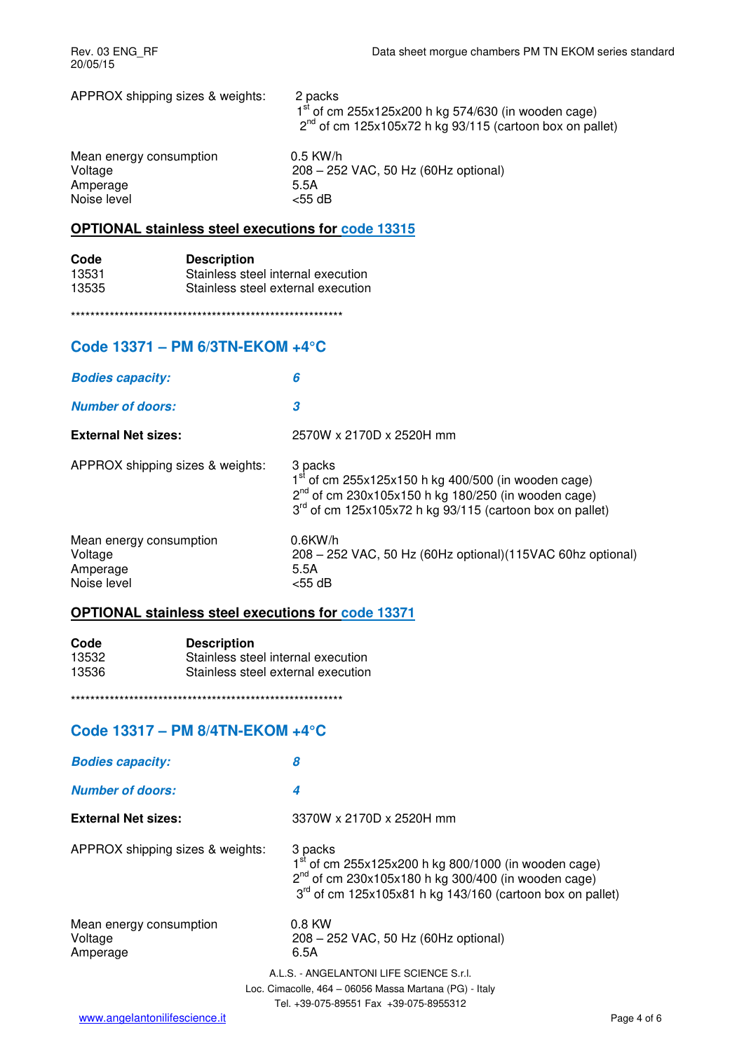| APPROX shipping sizes & weights: | 2 packs<br>$1st$ of cm 255x125x200 h kg 574/630 (in wooden cage)<br>$2^{nd}$ of cm 125x105x72 h kg 93/115 (cartoon box on pallet) |
|----------------------------------|-----------------------------------------------------------------------------------------------------------------------------------|
| Mean energy consumption          | $0.5$ KW/h                                                                                                                        |
| Voltage                          | 208 - 252 VAC, 50 Hz (60Hz optional)                                                                                              |
| Amperage                         | 5.5A                                                                                                                              |
| Noise level                      | $<$ 55 dB                                                                                                                         |

### **OPTIONAL stainless steel executions for code 13315**

| Code  | <b>Description</b>                 |
|-------|------------------------------------|
| 13531 | Stainless steel internal execution |
| 13535 | Stainless steel external execution |

\*\*\*\*\*\*\*\*\*\*\*\*\*\*\*\*\*\*\*\*\*\*\*\*\*\*\*\*\*\*\*\*\*\*\*\*\*\*\*\*\*\*\*\*\*\*\*\*\*\*\*\*\*\*\*\*

## **Code 13371 – PM 6/3TN-EKOM +4°C**

| <b>Bodies capacity:</b>                                       | 6                                                                                                                                                                                                    |
|---------------------------------------------------------------|------------------------------------------------------------------------------------------------------------------------------------------------------------------------------------------------------|
| <b>Number of doors:</b>                                       | 3                                                                                                                                                                                                    |
| <b>External Net sizes:</b>                                    | 2570W x 2170D x 2520H mm                                                                                                                                                                             |
| APPROX shipping sizes & weights:                              | 3 packs<br>$1st$ of cm 255x125x150 h kg 400/500 (in wooden cage)<br>$2^{nd}$ of cm 230x105x150 h kg 180/250 (in wooden cage)<br>3 <sup>rd</sup> of cm 125x105x72 h kg 93/115 (cartoon box on pallet) |
| Mean energy consumption<br>Voltage<br>Amperage<br>Noise level | $0.6$ KW/h<br>208 - 252 VAC, 50 Hz (60Hz optional)(115VAC 60hz optional)<br>5.5A<br>$<$ 55 dB                                                                                                        |

## **OPTIONAL stainless steel executions for code 13371**

| Code  | <b>Description</b>                 |
|-------|------------------------------------|
| 13532 | Stainless steel internal execution |
| 13536 | Stainless steel external execution |

\*\*\*\*\*\*\*\*\*\*\*\*\*\*\*\*\*\*\*\*\*\*\*\*\*\*\*\*\*\*\*\*\*\*\*\*\*\*\*\*\*\*\*\*\*\*\*\*\*\*\*\*\*\*\*\*

## **Code 13317 – PM 8/4TN-EKOM +4°C**

| <b>Bodies capacity:</b>                        | 8                                                                                                                                                                                            |
|------------------------------------------------|----------------------------------------------------------------------------------------------------------------------------------------------------------------------------------------------|
| <b>Number of doors:</b>                        | 4                                                                                                                                                                                            |
| <b>External Net sizes:</b>                     | 3370W x 2170D x 2520H mm                                                                                                                                                                     |
| APPROX shipping sizes & weights:               | 3 packs<br>$1st$ of cm 255x125x200 h kg 800/1000 (in wooden cage)<br>$2^{nd}$ of cm 230x105x180 h kg 300/400 (in wooden cage)<br>$3rd$ of cm 125x105x81 h kg 143/160 (cartoon box on pallet) |
| Mean energy consumption<br>Voltage<br>Amperage | 0.8 KW<br>208 - 252 VAC, 50 Hz (60Hz optional)<br>6.5A                                                                                                                                       |
|                                                | A.L.S. - ANGELANTONI LIFE SCIENCE S.r.I.<br>Loc. Cimacolle, 464 – 06056 Massa Martana (PG) - Italy<br>Tel. +39-075-89551 Fax +39-075-8955312                                                 |
| www.angelantonilifescience.it                  | Page 4 of 6                                                                                                                                                                                  |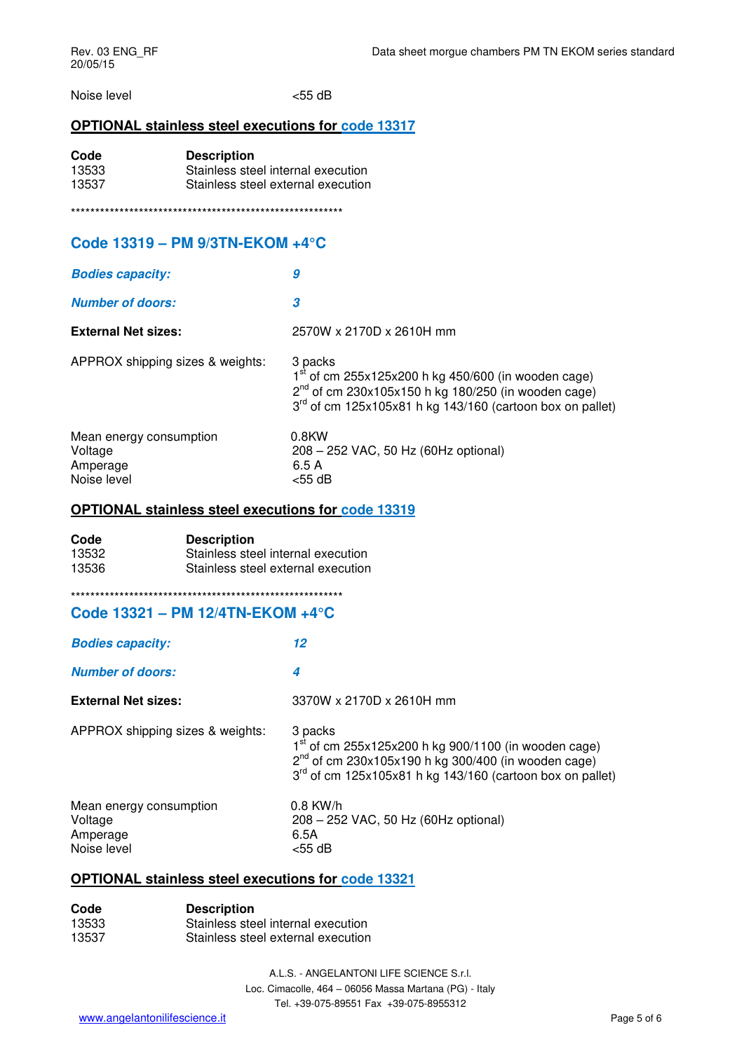Noise level <55 dB

### **OPTIONAL stainless steel executions for code 13317**

| Code  | <b>Description</b>                 |
|-------|------------------------------------|
| 13533 | Stainless steel internal execution |
| 13537 | Stainless steel external execution |

\*\*\*\*\*\*\*\*\*\*\*\*\*\*\*\*\*\*\*\*\*\*\*\*\*\*\*\*\*\*\*\*\*\*\*\*\*\*\*\*\*\*\*\*\*\*\*\*\*\*\*\*\*\*\*\*

## **Code 13319 – PM 9/3TN-EKOM +4°C**

| <b>Bodies capacity:</b>                                       | 9                                                                                                                                                                                                     |
|---------------------------------------------------------------|-------------------------------------------------------------------------------------------------------------------------------------------------------------------------------------------------------|
| <b>Number of doors:</b>                                       | 3                                                                                                                                                                                                     |
| <b>External Net sizes:</b>                                    | 2570W x 2170D x 2610H mm                                                                                                                                                                              |
| APPROX shipping sizes & weights:                              | 3 packs<br>$1st$ of cm 255x125x200 h kg 450/600 (in wooden cage)<br>$2^{nd}$ of cm 230x105x150 h kg 180/250 (in wooden cage)<br>3 <sup>rd</sup> of cm 125x105x81 h kg 143/160 (cartoon box on pallet) |
| Mean energy consumption<br>Voltage<br>Amperage<br>Noise level | 0.8 <sub>KW</sub><br>208 - 252 VAC, 50 Hz (60Hz optional)<br>6.5A<br>$<$ 55 dB                                                                                                                        |

#### **OPTIONAL stainless steel executions for code 13319**

| Code  | <b>Description</b>                 |
|-------|------------------------------------|
| 13532 | Stainless steel internal execution |
| 13536 | Stainless steel external execution |

## \*\*\*\*\*\*\*\*\*\*\*\*\*\*\*\*\*\*\*\*\*\*\*\*\*\*\*\*\*\*\*\*\*\*\*\*\*\*\*\*\*\*\*\*\*\*\*\*\*\*\*\*\*\*\*\*

### **Code 13321 – PM 12/4TN-EKOM +4°C**

| <b>Bodies capacity:</b>                                       | 12                                                                                                                                                                                                     |
|---------------------------------------------------------------|--------------------------------------------------------------------------------------------------------------------------------------------------------------------------------------------------------|
| <b>Number of doors:</b>                                       | 4                                                                                                                                                                                                      |
| <b>External Net sizes:</b>                                    | 3370W x 2170D x 2610H mm                                                                                                                                                                               |
| APPROX shipping sizes & weights:                              | 3 packs<br>$1st$ of cm 255x125x200 h kg 900/1100 (in wooden cage)<br>$2^{nd}$ of cm 230x105x190 h kg 300/400 (in wooden cage)<br>3 <sup>rd</sup> of cm 125x105x81 h kg 143/160 (cartoon box on pallet) |
| Mean energy consumption<br>Voltage<br>Amperage<br>Noise level | $0.8$ KW/h<br>208 – 252 VAC, 50 Hz (60Hz optional)<br>6.5A<br>$<$ 55 dB                                                                                                                                |

### **OPTIONAL stainless steel executions for code 13321**

| Code  | <b>Description</b>                 |
|-------|------------------------------------|
| 13533 | Stainless steel internal execution |
| 13537 | Stainless steel external execution |